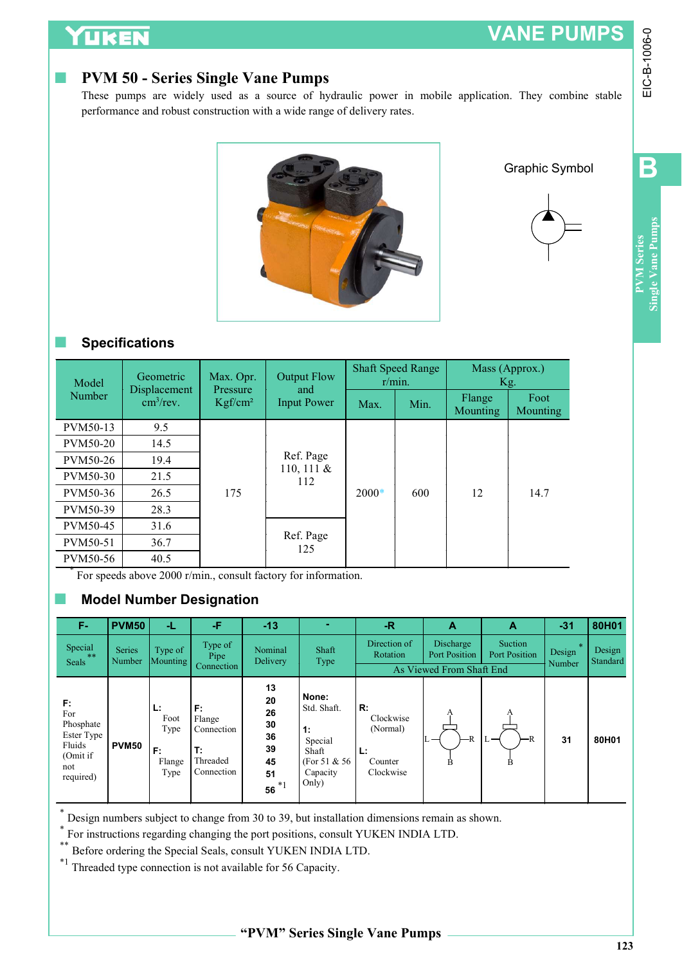# VANE PUMPS

## PVM 50 - Series Single Vane Pumps





B

#### ■ Specifications

| UKEN                                                                           |                                                                                                                                                                                                                                                                                                               |                                                                     |                                                               |                                                                                      |                                                                    |        |                                                        |            |                          | <b>VANE PUMPS</b>     |                    |
|--------------------------------------------------------------------------------|---------------------------------------------------------------------------------------------------------------------------------------------------------------------------------------------------------------------------------------------------------------------------------------------------------------|---------------------------------------------------------------------|---------------------------------------------------------------|--------------------------------------------------------------------------------------|--------------------------------------------------------------------|--------|--------------------------------------------------------|------------|--------------------------|-----------------------|--------------------|
| n.                                                                             | <b>PVM 50 - Series Single Vane Pumps</b><br>These pumps are widely used as a source of hydraulic power in mobile application. They combine stable<br>performance and robust construction with a wide range of delivery rates.                                                                                 |                                                                     |                                                               |                                                                                      |                                                                    |        |                                                        |            |                          |                       |                    |
|                                                                                |                                                                                                                                                                                                                                                                                                               |                                                                     |                                                               |                                                                                      |                                                                    |        |                                                        |            |                          | <b>Graphic Symbol</b> |                    |
| Model                                                                          | <b>Specifications</b><br>Geometric<br>Displacement                                                                                                                                                                                                                                                            | Max. Opr.<br>Pressure                                               |                                                               | <b>Output Flow</b><br>and                                                            | <b>Shaft Speed Range</b>                                           | r/min. |                                                        | Kg.        | Mass (Approx.)           |                       |                    |
| Number                                                                         | $\text{cm}^3/\text{rev}$ .                                                                                                                                                                                                                                                                                    | Kgf/cm <sup>2</sup>                                                 |                                                               | <b>Input Power</b>                                                                   | Max.                                                               | Min.   | Flange<br>Mounting                                     |            | Foot<br>Mounting         |                       |                    |
| PVM50-13<br>PVM50-20<br>PVM50-26<br>PVM50-30<br>PVM50-36                       | 9.5<br>14.5<br>19.4<br>21.5<br>26.5                                                                                                                                                                                                                                                                           | 175                                                                 |                                                               | Ref. Page<br>110, 111 &<br>112                                                       | 600<br>2000*                                                       |        |                                                        | 12<br>14.7 |                          |                       |                    |
| PVM50-39<br>PVM50-45<br>PVM50-51<br>PVM50-56                                   | 28.3<br>31.6<br>36.7<br>40.5                                                                                                                                                                                                                                                                                  |                                                                     |                                                               | Ref. Page<br>125                                                                     |                                                                    |        |                                                        |            |                          |                       |                    |
|                                                                                | For speeds above 2000 r/min., consult factory for information.<br><b>Model Number Designation</b>                                                                                                                                                                                                             |                                                                     |                                                               |                                                                                      |                                                                    |        |                                                        |            |                          |                       |                    |
| F-                                                                             | <b>PVM50</b><br>÷L.                                                                                                                                                                                                                                                                                           | -F                                                                  | $-13$                                                         | ۰                                                                                    | $\ensuremath{\mathsf{R}}$                                          |        | A                                                      |            | A                        | $-31$                 | 80H01              |
| Special<br>Seals                                                               | Series<br>Type of<br>Number<br>Mounting                                                                                                                                                                                                                                                                       | Type of<br>Pipe<br>Connection                                       | Nominal<br>Delivery                                           | Shaft<br>Type                                                                        | Direction of<br>Rotation                                           |        | Discharge<br>Port Position<br>As Viewed From Shaft End |            | Suction<br>Port Position | Design<br>Number      | Design<br>Standard |
| F:<br>For<br>Phosphate<br>Ester Type<br>Fluids<br>(Omit if<br>not<br>required) | L:<br>Foot<br>Type<br><b>PVM50</b><br>F:<br>Flange<br>Type                                                                                                                                                                                                                                                    | $\mathsf F$<br>Flange<br>Connection<br>Т:<br>Threaded<br>Connection | 13<br>20<br>26<br>30<br>36<br>39<br>45<br>51<br>56 $^{\ast}1$ | None:<br>Std. Shaft.<br>1:<br>Special<br>Shaft<br>(For 51 & 56)<br>Capacity<br>Only) | ${\sf R}$ :<br>Clockwise<br>(Normal)<br>Ŀ.<br>Counter<br>Clockwise |        |                                                        |            |                          | 31                    | 80H01              |
| $*_{1}$                                                                        | Design numbers subject to change from 30 to 39, but installation dimensions remain as shown.<br>For instructions regarding changing the port positions, consult YUKEN INDIA LTD.<br>Before ordering the Special Seals, consult YUKEN INDIA LTD.<br>Threaded type connection is not available for 56 Capacity. |                                                                     |                                                               |                                                                                      |                                                                    |        |                                                        |            |                          |                       |                    |

#### ■ Model Number Designation

| <b>PVM50-20</b>                                                               |              | 14.5                                                   |                                                                |                                        |                                                                            |                                                           |     |                            |                          |        |          |
|-------------------------------------------------------------------------------|--------------|--------------------------------------------------------|----------------------------------------------------------------|----------------------------------------|----------------------------------------------------------------------------|-----------------------------------------------------------|-----|----------------------------|--------------------------|--------|----------|
| PVM50-26                                                                      |              | 19.4                                                   |                                                                |                                        | Ref. Page<br>110, 111 $\&$                                                 |                                                           |     |                            |                          |        |          |
| PVM50-30                                                                      |              | 21.5                                                   |                                                                |                                        | 112                                                                        |                                                           |     |                            |                          |        |          |
| PVM50-36                                                                      |              | 26.5                                                   | 175                                                            |                                        |                                                                            | $2000*$                                                   | 600 | 12                         | 14.7                     |        |          |
| PVM50-39                                                                      |              | 28.3                                                   |                                                                |                                        |                                                                            |                                                           |     |                            |                          |        |          |
| PVM50-45                                                                      |              | 31.6                                                   |                                                                |                                        |                                                                            |                                                           |     |                            |                          |        |          |
| PVM50-51                                                                      |              | 36.7                                                   |                                                                |                                        | Ref. Page<br>125                                                           |                                                           |     |                            |                          |        |          |
| PVM50-56                                                                      |              | 40.5                                                   |                                                                |                                        |                                                                            |                                                           |     |                            |                          |        |          |
|                                                                               |              |                                                        |                                                                |                                        | For speeds above 2000 r/min., consult factory for information.             |                                                           |     |                            |                          |        |          |
|                                                                               |              |                                                        | <b>Model Number Designation</b>                                |                                        |                                                                            |                                                           |     |                            |                          |        |          |
|                                                                               |              |                                                        |                                                                |                                        |                                                                            |                                                           |     |                            |                          |        |          |
| F-                                                                            | <b>PVM50</b> | Ч.,                                                    | -F                                                             | $-13$                                  |                                                                            | $-R$                                                      |     | A                          | $\mathbf{A}$             | $-31$  | 80H01    |
| Special                                                                       | Series       | Type of                                                | Type of                                                        | Nominal                                | Shaft                                                                      | Direction of<br>Rotation                                  |     | Discharge<br>Port Position | Suction<br>Port Position | Design | Design   |
| Seals                                                                         | Number       | Mounting                                               | Pipe<br>Connection                                             | Delivery                               | Type                                                                       |                                                           |     | As Viewed From Shaft End   |                          | Number | Standard |
|                                                                               |              |                                                        |                                                                | 13                                     |                                                                            |                                                           |     |                            |                          |        |          |
| $\mathsf{F}$ :<br>For<br>Phosphate<br>Ester Type<br>Fluids<br>(Omit if<br>not | <b>PVM50</b> | Ŀ.<br>Foot<br>Type<br>$\mathsf{F}$ :<br>Flange<br>Type | $F$ :<br>Flange<br>Connection<br>lT:<br>Threaded<br>Connection | 20<br>26<br>30<br>36<br>39<br>45<br>51 | None:<br>Std. Shaft.<br>1:<br>Special<br>Shaft<br>(For 51 & 56<br>Capacity | R:<br>Clockwise<br>(Normal)<br>L:<br>Counter<br>Clockwise |     | -R<br>R                    | B                        | 31     | 80H01    |
| required)                                                                     |              |                                                        |                                                                | 56 $*1$                                | Only)                                                                      |                                                           |     |                            |                          |        |          |

\*\* Before ordering the Special Seals, consult YUKEN INDIA LTD.<br>\*1 Threaded type connection is not available for 56 Capacity.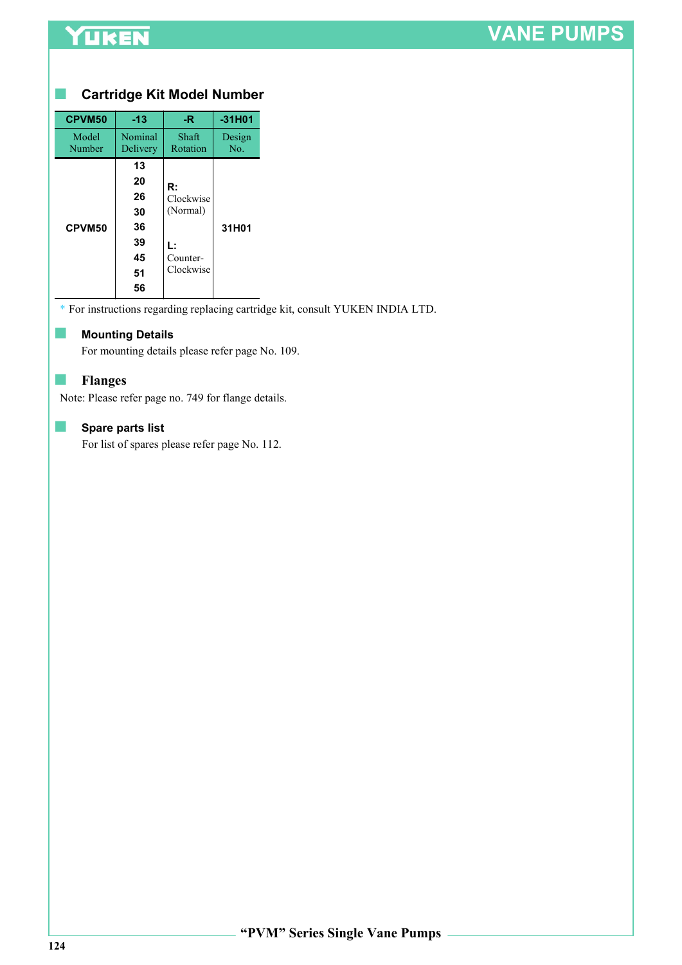## YUKEN

# VANE PUMPS

#### ■ Cartridge Kit Model Number

| CPVM50          | $-13$                                              | -R.                                                        | $-31H01$      |
|-----------------|----------------------------------------------------|------------------------------------------------------------|---------------|
| Model<br>Number | Nominal<br>Delivery                                | Shaft<br>Rotation                                          | Design<br>No. |
| CPVM50          | 13<br>20<br>26<br>30<br>36<br>39<br>45<br>51<br>56 | R:<br>Clockwise<br>(Normal)<br>L:<br>Counter-<br>Clockwise | 31H01         |

\* For instructions regarding replacing cartridge kit, consult YUKEN INDIA LTD.

#### ■ Mounting Details

For mounting details please refer page No. 109.

#### ■ Flanges

Note: Please refer page no. 749 for flange details.

#### ■ Spare parts list

For list of spares please refer page No. 112.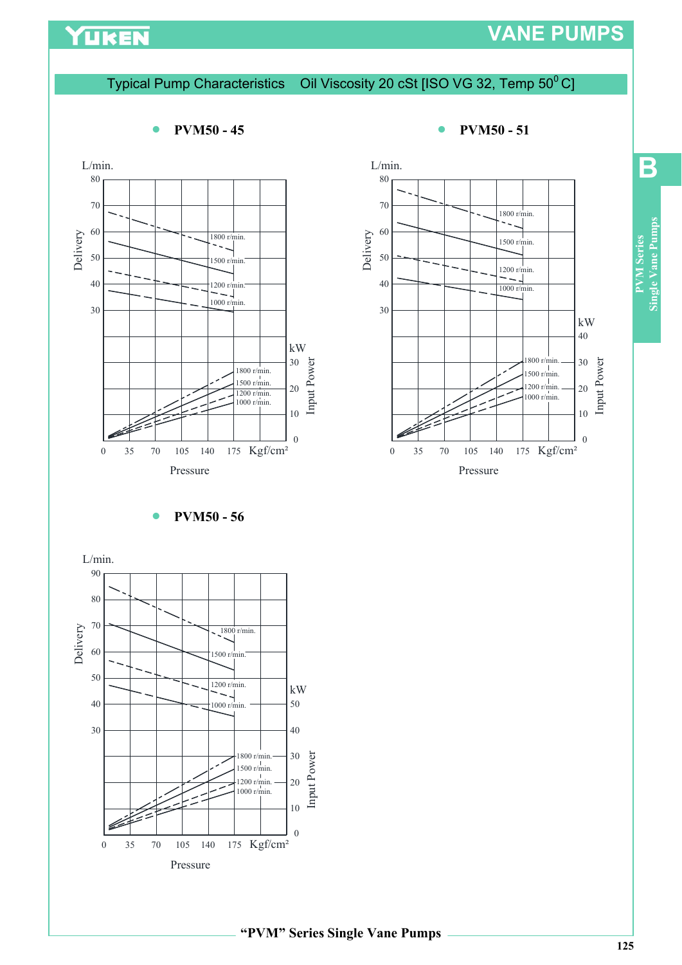## YUKEN

## VANE PUMPS

#### Typical Pump Characteristics Oil Viscosity 20 cSt [ISO VG 32, Temp 50<sup>0</sup> C]

## 30  $40$   $+$   $1200$  r/min.  $50 \rightarrow 1500 \text{ r/min.}$ 60 70  $\frac{1800 \text{ r/min.}}{500 \text{ r/min.}}$ Pressure L/min. 1800 r/min.  $80$ 1000 r/min.  $\begin{array}{c|c}\n & 30 & 52 \\
\hline\n1800 r/min.\n1500 r/min.\n1200 r/min.\n1000 r/min.\n1000 r/min.\n100$  $\frac{1500 \text{ r/min.}}{1200 \text{ r/min.}}$  20 1200 r/min.  $\begin{bmatrix} 20 & 2 \\ 1000 & r/\text{min.} \end{bmatrix}$

• PVM50 - 45 • PVM50 - 51





#### 125

B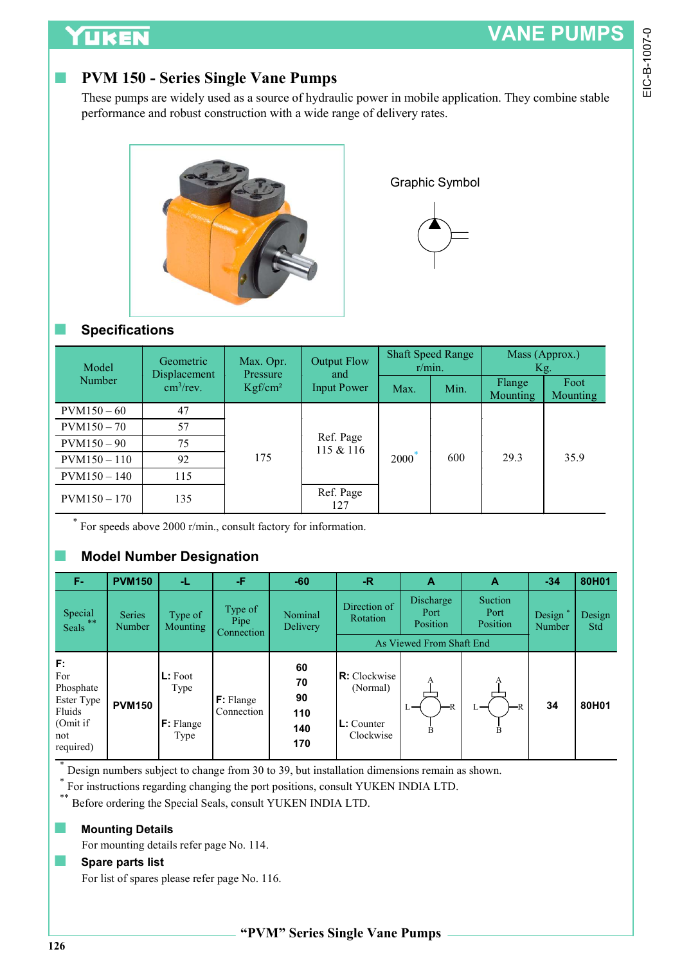## **TIKEN**

## PVM 150 - Series Single Vane Pumps





#### ■ Specifications

| <b>YUKEN</b>          |                                                                                                                                                                                                                                |                                 |                           |      |                          |                    | <b>VANE PUMPS</b>       |
|-----------------------|--------------------------------------------------------------------------------------------------------------------------------------------------------------------------------------------------------------------------------|---------------------------------|---------------------------|------|--------------------------|--------------------|-------------------------|
|                       | <b>PVM 150 - Series Single Vane Pumps</b><br>These pumps are widely used as a source of hydraulic power in mobile application. They combine stable<br>performance and robust construction with a wide range of delivery rates. |                                 |                           |      |                          |                    |                         |
|                       |                                                                                                                                                                                                                                |                                 |                           |      | <b>Graphic Symbol</b>    |                    |                         |
| <b>Specifications</b> | Geometric                                                                                                                                                                                                                      | Max. Opr.                       | <b>Output Flow</b>        |      | <b>Shaft Speed Range</b> |                    | Mass (Approx.)          |
| Model<br>Number       | Displacement<br>$\text{cm}^3/\text{rev}$ .                                                                                                                                                                                     | Pressure<br>Kgf/cm <sup>2</sup> | and<br><b>Input Power</b> | Max. | r/min.<br>Min.           | Flange<br>Mounting | Kg.<br>Foot<br>Mounting |
| $PVM150 - 60$         | 47                                                                                                                                                                                                                             |                                 |                           |      |                          |                    |                         |
| $PVM150 - 70$         | 57                                                                                                                                                                                                                             |                                 |                           |      |                          |                    |                         |
| $PVM150 - 90$         | 75                                                                                                                                                                                                                             | 175                             | Ref. Page<br>115 & 116    |      |                          |                    |                         |
| $PVM150 - 110$        | 92                                                                                                                                                                                                                             |                                 |                           | 2000 | 600                      | 29.3               | 35.9                    |
| $PVM150 - 140$        | 115                                                                                                                                                                                                                            |                                 |                           |      |                          |                    |                         |
| $PVM150 - 170$        | 135                                                                                                                                                                                                                            |                                 | Ref. Page<br>127          |      |                          |                    |                         |

### ■ Model Number Designation

| $PVM150-60$                            |                   | 47                              |                               |                                                                                              |                          |             |                               |                             |                               |               |  |
|----------------------------------------|-------------------|---------------------------------|-------------------------------|----------------------------------------------------------------------------------------------|--------------------------|-------------|-------------------------------|-----------------------------|-------------------------------|---------------|--|
| $\text{PVM150}-70$                     |                   | 57                              |                               |                                                                                              |                          |             |                               |                             |                               | 35.9          |  |
| $PVM150 - 90$                          |                   | 75                              |                               |                                                                                              | Ref. Page<br>115 & 116   |             |                               |                             |                               |               |  |
| $PVM150 - 110$                         |                   | 92                              | 175                           |                                                                                              |                          | <b>2000</b> | 600                           | 29.3                        |                               |               |  |
| $PVM150 - 140$                         |                   | 115                             |                               |                                                                                              |                          |             |                               |                             |                               |               |  |
| $PVM150 - 170$                         |                   | 135                             |                               |                                                                                              | Ref. Page<br>127         |             |                               |                             |                               |               |  |
|                                        |                   |                                 |                               | For speeds above 2000 r/min., consult factory for information.                               |                          |             |                               |                             |                               |               |  |
| $\sim$                                 |                   | <b>Model Number Designation</b> |                               |                                                                                              |                          |             |                               |                             |                               |               |  |
| F-                                     | <b>PVM150</b>     | Æ.                              | -F                            | $-60$                                                                                        | $-R$                     |             | A                             | A                           | $-34$                         | 80H01         |  |
| Special<br>$***$<br>Seals              | Series<br>Number  | Type of<br><b>Mounting</b>      | Type of<br>Pipe<br>Connection | Nominal<br>Delivery                                                                          | Direction of<br>Rotation |             | Discharge<br>Port<br>Position | Suction<br>Port<br>Position | Design <sup>*</sup><br>Number | Design<br>Std |  |
|                                        |                   |                                 |                               |                                                                                              |                          |             | As Viewed From Shaft End      |                             |                               |               |  |
| F:<br>For<br>Phosphate<br>Ester Type   | <b>PVM150</b>     | L: Foot<br>Type                 | F: Flange                     | 60<br>70<br>90                                                                               | R: Clockwise<br>(Normal) |             |                               |                             | 34                            | 80H01         |  |
| Fluids<br>(Omit if<br>not<br>required) | F: Flange<br>Type | Connection                      | 110<br>140<br>170             |                                                                                              | Clockwise                |             | B                             |                             |                               |               |  |
| $\ast$                                 |                   |                                 |                               | Design numbers subject to change from 30 to 39, but installation dimensions remain as shown. |                          |             |                               |                             |                               |               |  |

\* For instructions regarding changing the port positions, consult YUKEN INDIA LTD.

Before ordering the Special Seals, consult YUKEN INDIA LTD.

#### **■ Mounting Details**

For mounting details refer page No. 114.

#### ■ Spare parts list

For list of spares please refer page No. 116.